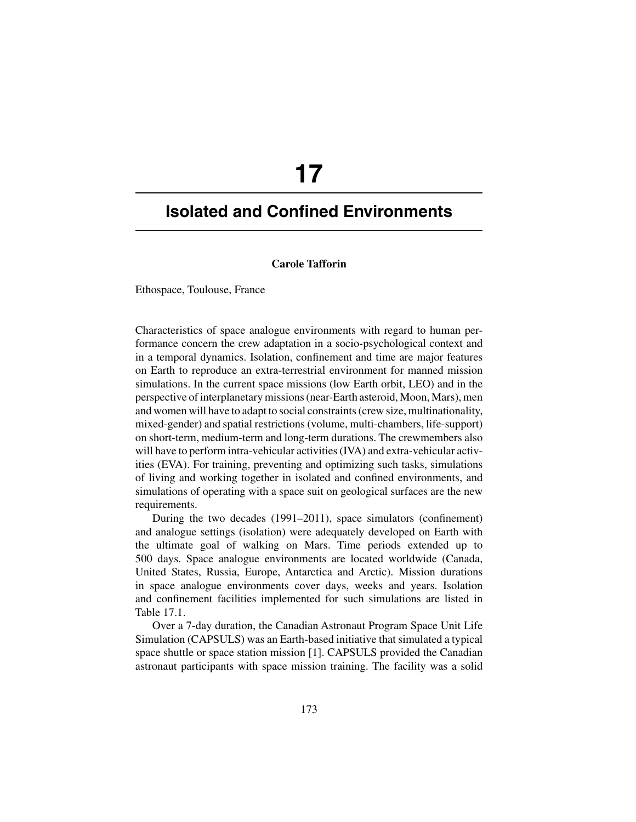# **17**

# **Isolated and Confined Environments**

## **Carole Tafforin**

Ethospace, Toulouse, France

Characteristics of space analogue environments with regard to human performance concern the crew adaptation in a socio-psychological context and in a temporal dynamics. Isolation, confinement and time are major features on Earth to reproduce an extra-terrestrial environment for manned mission simulations. In the current space missions (low Earth orbit, LEO) and in the perspective of interplanetary missions (near-Earth asteroid, Moon, Mars), men and women will have to adapt to social constraints (crew size, multinationality, mixed-gender) and spatial restrictions (volume, multi-chambers, life-support) on short-term, medium-term and long-term durations. The crewmembers also will have to perform intra-vehicular activities (IVA) and extra-vehicular activities (EVA). For training, preventing and optimizing such tasks, simulations of living and working together in isolated and confined environments, and simulations of operating with a space suit on geological surfaces are the new requirements.

During the two decades (1991–2011), space simulators (confinement) and analogue settings (isolation) were adequately developed on Earth with the ultimate goal of walking on Mars. Time periods extended up to 500 days. Space analogue environments are located worldwide (Canada, United States, Russia, Europe, Antarctica and Arctic). Mission durations in space analogue environments cover days, weeks and years. Isolation and confinement facilities implemented for such simulations are listed in Table 17.1.

Over a 7-day duration, the Canadian Astronaut Program Space Unit Life Simulation (CAPSULS) was an Earth-based initiative that simulated a typical space shuttle or space station mission [1]. CAPSULS provided the Canadian astronaut participants with space mission training. The facility was a solid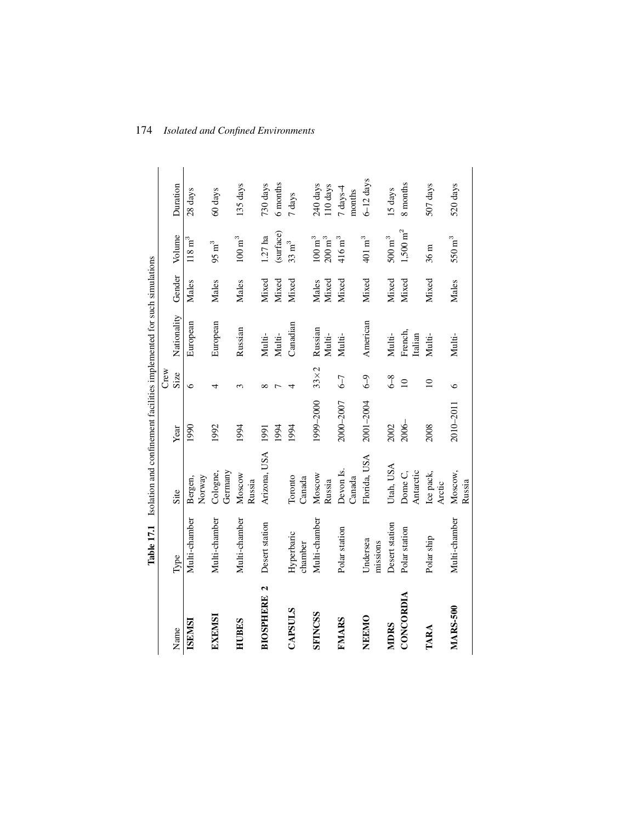|                                          |                       | Table 17.1 Isolation and confinement facilities implemented for such simulations |           |             |                    |                |                                            |                      |  |
|------------------------------------------|-----------------------|----------------------------------------------------------------------------------|-----------|-------------|--------------------|----------------|--------------------------------------------|----------------------|--|
|                                          |                       |                                                                                  |           | Crew        |                    |                |                                            |                      |  |
| Name                                     | Type                  | Site                                                                             | Year      | Size        | Nationality        | Gender         | Volume                                     | Duration             |  |
| <b>ISEMSI</b>                            | Multi-chamber         | Norway<br>Bergen,                                                                | 1990      | $\circ$     | European           | Males          | $118~\mathrm{m}^3$                         | 28 days              |  |
| EXEMSI                                   | Multi-chamber         | Germany<br>Cologne,                                                              | 1992      | 4           | European           | Males          | $95~{\rm m}^3$                             | 60 days              |  |
| HUBES                                    | Multi-chamber         | Moscow<br>Russia                                                                 | 1994      | 3           | Russian            | Males          | $100\:\mathrm{m}^3$                        | 135 days             |  |
| $\mathbf{\tilde{c}}$<br><b>BIOSPHERE</b> | Desert station        | Arizona, USA                                                                     | 1991      | $\infty$    | Multi-             | Mixed          | $1.27$ ha                                  | 730 days             |  |
|                                          |                       |                                                                                  | 1994      |             | Multi-             | Mixed          | (surface)                                  | 6 months             |  |
| <b>CAPSULS</b>                           | Hyperbaric<br>chamber | Toronto<br>Canada                                                                | 1994      | 4           | Canadian           | Mixed          | $33~{\rm m}^3$                             | 7 days               |  |
| <b>SFINCSS</b>                           | Multi-chamber         | Moscow<br>Russia                                                                 | 1999-2000 | $33\times2$ | Russian<br>Multi-  | Mixed<br>Males | $100\;\mathrm{m}^3$<br>$200\:\mathrm{m}^3$ | 240 days<br>110 days |  |
| FMARS                                    | Polar station         | Devon Is.<br>Canada                                                              | 2000-2007 | $6-7$       | Multi-             | Mixed          | $416\,\mathrm{m}^3$                        | 7 days-4<br>months   |  |
| NEEMO                                    | Undersea<br>missions  | Florida, USA                                                                     | 2001-2004 | $6-9$       | American           | Mixed          | $401\,\mathrm{m}^3$                        | $6 - 12$ days        |  |
| <b>MDRS</b>                              | Desert station        | Utah, USA                                                                        | 2002      | $6-8$       | Multi-             | Mixed          | $500\,\mathrm{m}^3$                        | 15 days              |  |
| CONCORDIA                                | Polar station         | Dome C,<br>Antarctic                                                             | 2006-     | $\subseteq$ | French,<br>Italian | Mixed          | $1,500~{\rm m}^2$                          | 8 months             |  |
| TARA                                     | Polar ship            | Ice pack,<br>Arctic                                                              | 2008      | $\supseteq$ | Multi-             | Mixed          | 36 <sub>m</sub>                            | 507 days             |  |
| <b>MARS-500</b>                          | Multi-chamber         | Moscow,<br>Russia                                                                | 2010-2011 | 6           | Multi-             | Males          | $550\ {\rm m}^3$                           | 520 days             |  |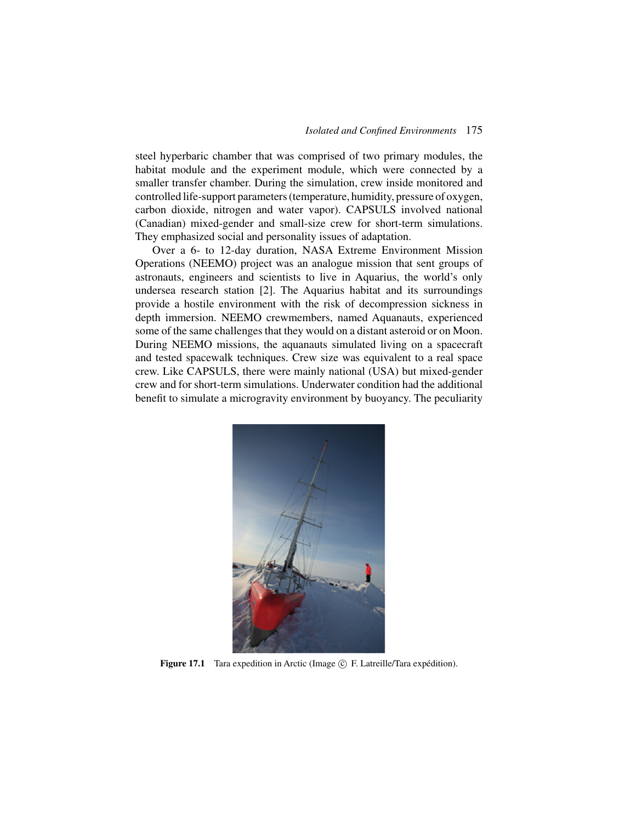steel hyperbaric chamber that was comprised of two primary modules, the habitat module and the experiment module, which were connected by a smaller transfer chamber. During the simulation, crew inside monitored and controlled life-support parameters (temperature, humidity, pressure of oxygen, carbon dioxide, nitrogen and water vapor). CAPSULS involved national (Canadian) mixed-gender and small-size crew for short-term simulations. They emphasized social and personality issues of adaptation.

Over a 6- to 12-day duration, NASA Extreme Environment Mission Operations (NEEMO) project was an analogue mission that sent groups of astronauts, engineers and scientists to live in Aquarius, the world's only undersea research station [2]. The Aquarius habitat and its surroundings provide a hostile environment with the risk of decompression sickness in depth immersion. NEEMO crewmembers, named Aquanauts, experienced some of the same challenges that they would on a distant asteroid or on Moon. During NEEMO missions, the aquanauts simulated living on a spacecraft and tested spacewalk techniques. Crew size was equivalent to a real space crew. Like CAPSULS, there were mainly national (USA) but mixed-gender crew and for short-term simulations. Underwater condition had the additional benefit to simulate a microgravity environment by buoyancy. The peculiarity



**Figure 17.1** Tara expedition in Arctic (Image © F. Latreille/Tara expédition).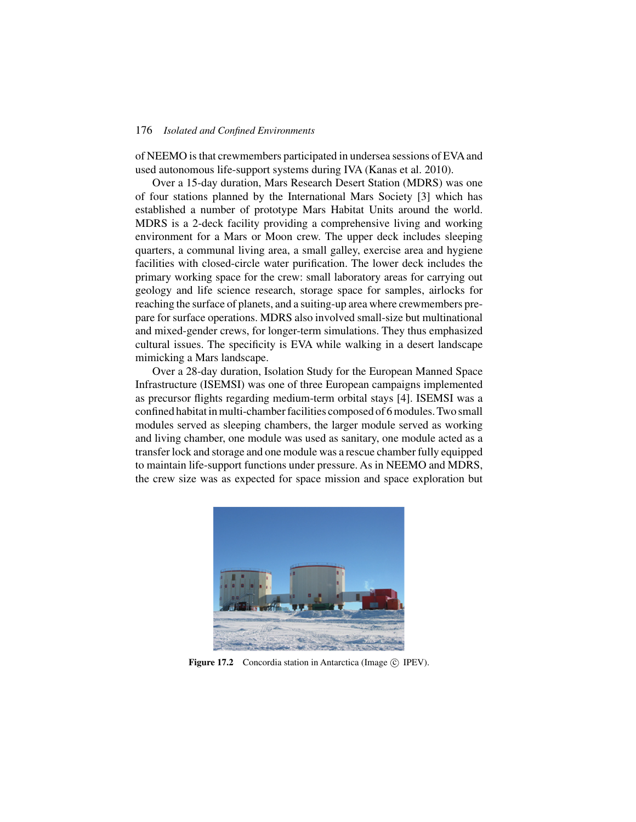#### 176 *Isolated and Confined Environments*

of NEEMO is that crewmembers participated in undersea sessions of EVA and used autonomous life-support systems during IVA (Kanas et al. 2010).

Over a 15-day duration, Mars Research Desert Station (MDRS) was one of four stations planned by the International Mars Society [3] which has established a number of prototype Mars Habitat Units around the world. MDRS is a 2-deck facility providing a comprehensive living and working environment for a Mars or Moon crew. The upper deck includes sleeping quarters, a communal living area, a small galley, exercise area and hygiene facilities with closed-circle water purification. The lower deck includes the primary working space for the crew: small laboratory areas for carrying out geology and life science research, storage space for samples, airlocks for reaching the surface of planets, and a suiting-up area where crewmembers prepare for surface operations. MDRS also involved small-size but multinational and mixed-gender crews, for longer-term simulations. They thus emphasized cultural issues. The specificity is EVA while walking in a desert landscape mimicking a Mars landscape.

Over a 28-day duration, Isolation Study for the European Manned Space Infrastructure (ISEMSI) was one of three European campaigns implemented as precursor flights regarding medium-term orbital stays [4]. ISEMSI was a confined habitat in multi-chamber facilities composed of 6 modules. Two small modules served as sleeping chambers, the larger module served as working and living chamber, one module was used as sanitary, one module acted as a transfer lock and storage and one module was a rescue chamber fully equipped to maintain life-support functions under pressure. As in NEEMO and MDRS, the crew size was as expected for space mission and space exploration but



**Figure 17.2** Concordia station in Antarctica (Image © IPEV).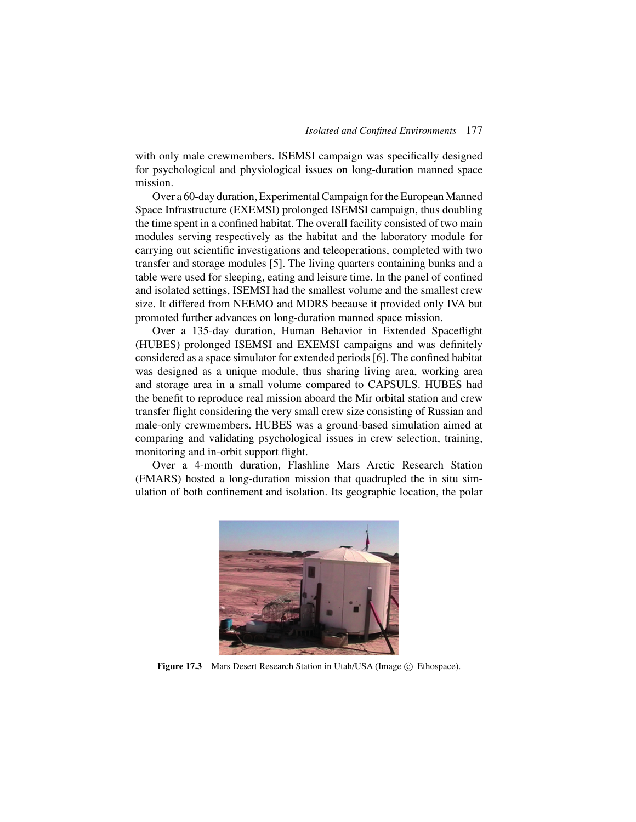with only male crewmembers. ISEMSI campaign was specifically designed for psychological and physiological issues on long-duration manned space mission.

Over a 60-day duration, Experimental Campaign for the European Manned Space Infrastructure (EXEMSI) prolonged ISEMSI campaign, thus doubling the time spent in a confined habitat. The overall facility consisted of two main modules serving respectively as the habitat and the laboratory module for carrying out scientific investigations and teleoperations, completed with two transfer and storage modules [5]. The living quarters containing bunks and a table were used for sleeping, eating and leisure time. In the panel of confined and isolated settings, ISEMSI had the smallest volume and the smallest crew size. It differed from NEEMO and MDRS because it provided only IVA but promoted further advances on long-duration manned space mission.

Over a 135-day duration, Human Behavior in Extended Spaceflight (HUBES) prolonged ISEMSI and EXEMSI campaigns and was definitely considered as a space simulator for extended periods [6]. The confined habitat was designed as a unique module, thus sharing living area, working area and storage area in a small volume compared to CAPSULS. HUBES had the benefit to reproduce real mission aboard the Mir orbital station and crew transfer flight considering the very small crew size consisting of Russian and male-only crewmembers. HUBES was a ground-based simulation aimed at comparing and validating psychological issues in crew selection, training, monitoring and in-orbit support flight.

Over a 4-month duration, Flashline Mars Arctic Research Station (FMARS) hosted a long-duration mission that quadrupled the in situ simulation of both confinement and isolation. Its geographic location, the polar



**Figure 17.3** Mars Desert Research Station in Utah/USA (Image © Ethospace).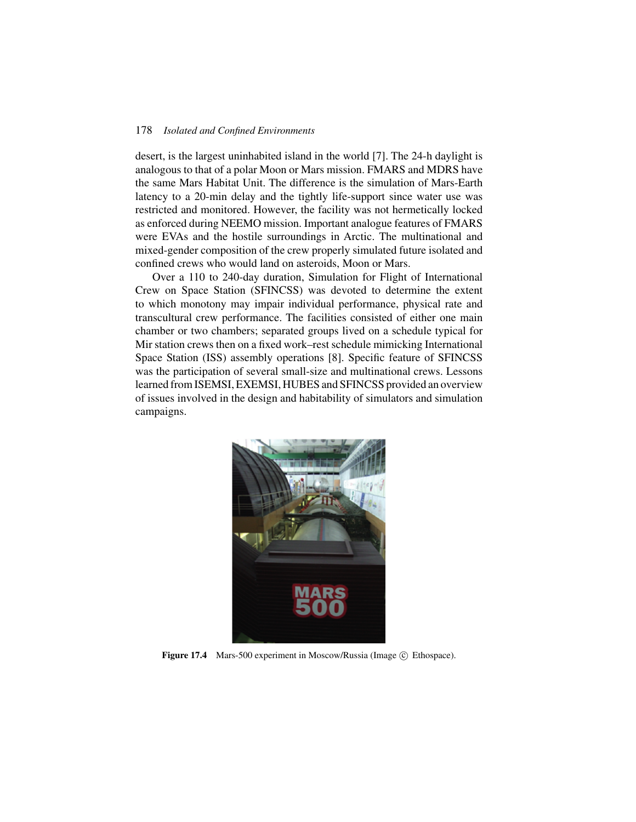#### 178 *Isolated and Confined Environments*

desert, is the largest uninhabited island in the world [7]. The 24-h daylight is analogous to that of a polar Moon or Mars mission. FMARS and MDRS have the same Mars Habitat Unit. The difference is the simulation of Mars-Earth latency to a 20-min delay and the tightly life-support since water use was restricted and monitored. However, the facility was not hermetically locked as enforced during NEEMO mission. Important analogue features of FMARS were EVAs and the hostile surroundings in Arctic. The multinational and mixed-gender composition of the crew properly simulated future isolated and confined crews who would land on asteroids, Moon or Mars.

Over a 110 to 240-day duration, Simulation for Flight of International Crew on Space Station (SFINCSS) was devoted to determine the extent to which monotony may impair individual performance, physical rate and transcultural crew performance. The facilities consisted of either one main chamber or two chambers; separated groups lived on a schedule typical for Mir station crews then on a fixed work–rest schedule mimicking International Space Station (ISS) assembly operations [8]. Specific feature of SFINCSS was the participation of several small-size and multinational crews. Lessons learned from ISEMSI, EXEMSI, HUBES and SFINCSS provided an overview of issues involved in the design and habitability of simulators and simulation campaigns.



**Figure 17.4** Mars-500 experiment in Moscow/Russia (Image © Ethospace).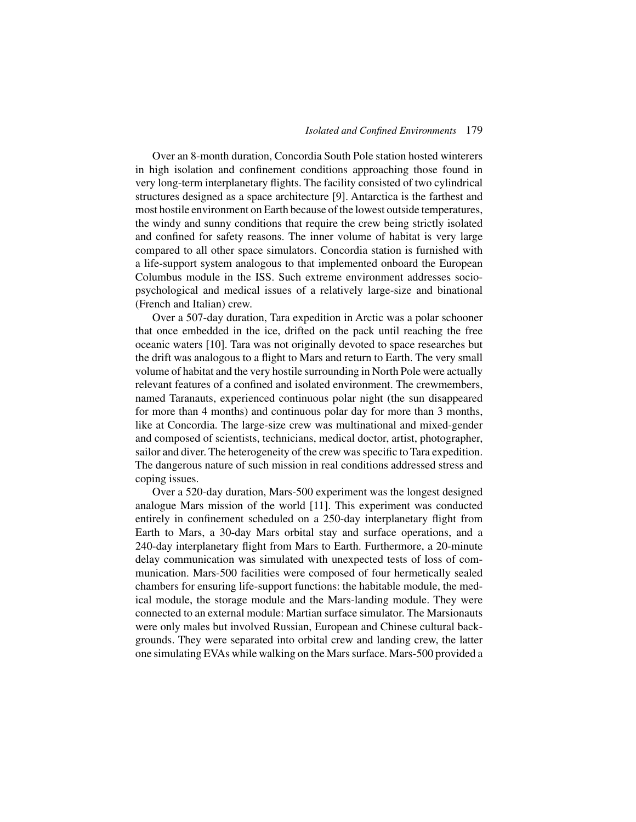Over an 8-month duration, Concordia South Pole station hosted winterers in high isolation and confinement conditions approaching those found in very long-term interplanetary flights. The facility consisted of two cylindrical structures designed as a space architecture [9]. Antarctica is the farthest and most hostile environment on Earth because of the lowest outside temperatures, the windy and sunny conditions that require the crew being strictly isolated and confined for safety reasons. The inner volume of habitat is very large compared to all other space simulators. Concordia station is furnished with a life-support system analogous to that implemented onboard the European Columbus module in the ISS. Such extreme environment addresses sociopsychological and medical issues of a relatively large-size and binational (French and Italian) crew.

Over a 507-day duration, Tara expedition in Arctic was a polar schooner that once embedded in the ice, drifted on the pack until reaching the free oceanic waters [10]. Tara was not originally devoted to space researches but the drift was analogous to a flight to Mars and return to Earth. The very small volume of habitat and the very hostile surrounding in North Pole were actually relevant features of a confined and isolated environment. The crewmembers, named Taranauts, experienced continuous polar night (the sun disappeared for more than 4 months) and continuous polar day for more than 3 months, like at Concordia. The large-size crew was multinational and mixed-gender and composed of scientists, technicians, medical doctor, artist, photographer, sailor and diver. The heterogeneity of the crew was specific to Tara expedition. The dangerous nature of such mission in real conditions addressed stress and coping issues.

Over a 520-day duration, Mars-500 experiment was the longest designed analogue Mars mission of the world [11]. This experiment was conducted entirely in confinement scheduled on a 250-day interplanetary flight from Earth to Mars, a 30-day Mars orbital stay and surface operations, and a 240-day interplanetary flight from Mars to Earth. Furthermore, a 20-minute delay communication was simulated with unexpected tests of loss of communication. Mars-500 facilities were composed of four hermetically sealed chambers for ensuring life-support functions: the habitable module, the medical module, the storage module and the Mars-landing module. They were connected to an external module: Martian surface simulator. The Marsionauts were only males but involved Russian, European and Chinese cultural backgrounds. They were separated into orbital crew and landing crew, the latter one simulating EVAs while walking on the Mars surface. Mars-500 provided a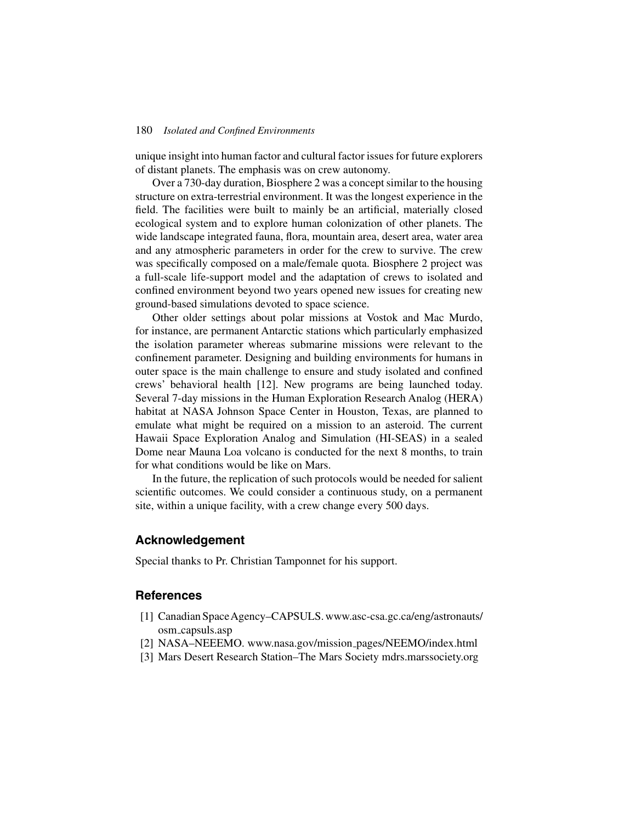#### 180 *Isolated and Confined Environments*

unique insight into human factor and cultural factor issues for future explorers of distant planets. The emphasis was on crew autonomy.

Over a 730-day duration, Biosphere 2 was a concept similar to the housing structure on extra-terrestrial environment. It was the longest experience in the field. The facilities were built to mainly be an artificial, materially closed ecological system and to explore human colonization of other planets. The wide landscape integrated fauna, flora, mountain area, desert area, water area and any atmospheric parameters in order for the crew to survive. The crew was specifically composed on a male/female quota. Biosphere 2 project was a full-scale life-support model and the adaptation of crews to isolated and confined environment beyond two years opened new issues for creating new ground-based simulations devoted to space science.

Other older settings about polar missions at Vostok and Mac Murdo, for instance, are permanent Antarctic stations which particularly emphasized the isolation parameter whereas submarine missions were relevant to the confinement parameter. Designing and building environments for humans in outer space is the main challenge to ensure and study isolated and confined crews' behavioral health [12]. New programs are being launched today. Several 7-day missions in the Human Exploration Research Analog (HERA) habitat at NASA Johnson Space Center in Houston, Texas, are planned to emulate what might be required on a mission to an asteroid. The current Hawaii Space Exploration Analog and Simulation (HI-SEAS) in a sealed Dome near Mauna Loa volcano is conducted for the next 8 months, to train for what conditions would be like on Mars.

In the future, the replication of such protocols would be needed for salient scientific outcomes. We could consider a continuous study, on a permanent site, within a unique facility, with a crew change every 500 days.

#### **Acknowledgement**

Special thanks to Pr. Christian Tamponnet for his support.

### **References**

- [1] Canadian SpaceAgency–CAPSULS. www.asc-csa.gc.ca/eng/astronauts/ osm capsuls.asp
- [2] NASA–NEEEMO. www.nasa.gov/mission pages/NEEMO/index.html
- [3] Mars Desert Research Station–The Mars Society mdrs.marssociety.org